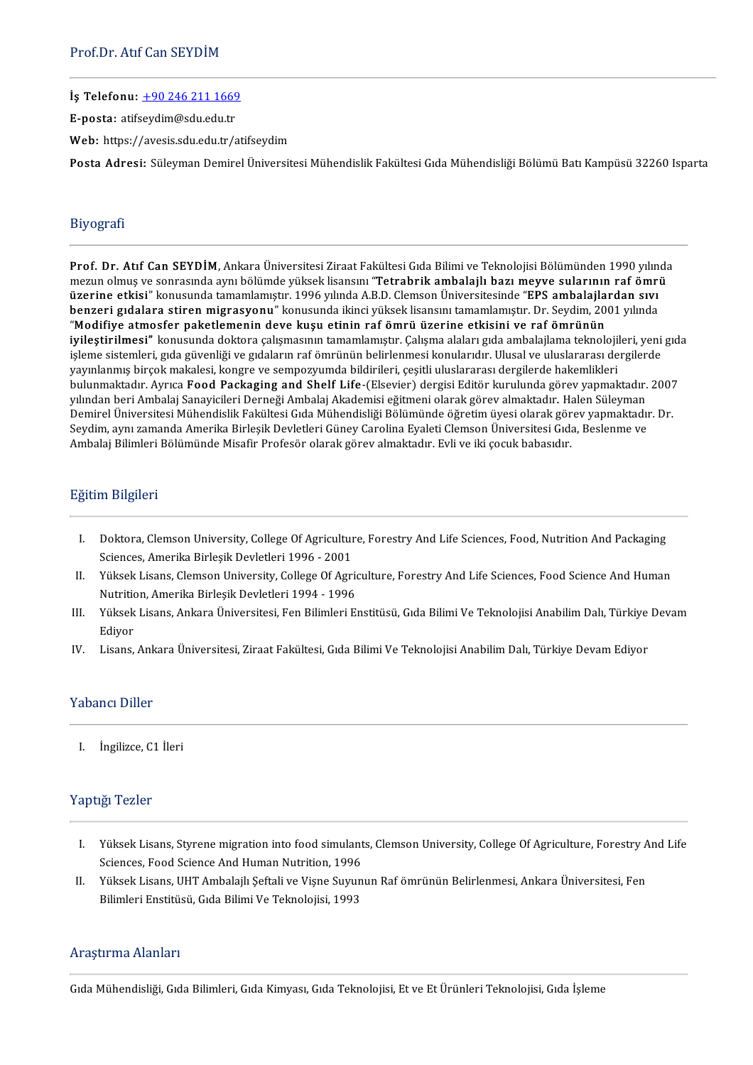İş Telefonu: +902462111669

E-posta: atif[seydim@sdu.edu.tr](tel:+90 246 211 1669)

E-posta: atifseydim@sdu.edu.tr<br>Web: https://avesis.sdu.edu.tr/atifseydim

Posta Adresi: Süleyman Demirel Üniversitesi Mühendislik Fakültesi Gıda Mühendisliği Bölümü Batı Kampüsü 32260 Isparta

## Biyografi

Prof. Dr. Atıf Can SEYDİM,AnkaraÜniversitesiZiraatFakültesiGıdaBilimiveTeknolojisiBölümünden1990yılında mezunolmuş ve sonrasında aynıbölümde yükseklisansını "Tetrabrik ambalajlı bazımeyve sularının raf ömrü mezun olmuş ve sonrasında aynı bölümde yüksek lisansını "Tetrabrik ambalajlı bazı meyve sularının raf ömrü<br>üzerine etkisi" konusunda tamamlamıştır. 1996 yılında A.B.D. Clemson Üniversitesinde "EPS ambalajlardan sıvı Prof. Dr. Atif Can SEYDIM, Ankara Universitesi Ziraat Fakultesi Gida Bilimi ve Teknolojisi Bolumunden 1990 yılını<br>mezun olmuş ve sonrasında aynı bölümde yüksek lisansını "**Tetrabrik ambalajlı bazı meyve sularının raf ömri** mezun olmuş ve sonrasında aynı bölümde yüksek lisansını "T**etrabrik ambalajlı bazı meyve sularının**<br>**üzerine etkisi"** konusunda tamamlamıştır. 1996 yılında A.B.D. Clemson Üniversitesinde "**EPS ambalajla**<br>benzeri gıdalara s üzerine etkisi" konusunda tamamlamıştır. 1996 yılında A.B.D. Clemson Universitesinde "EPS ambalajlardan sıvı<br>benzeri gıdalara stiren migrasyonu" konusunda ikinci yüksek lisansını tamamlamıştır. Dr. Seydim, 2001 yılında<br>"Mo benzeri gıdalara stiren migrasyonu" konusunda ikinci yüksek lisansını tamamlamıştır. Dr. Seydim, 2001 yılında<br>"Modifiye atmosfer paketlemenin deve kuşu etinin raf ömrü üzerine etkisini ve raf ömrünün<br>iyileştirilmesi" konus "Modifiye atmosfer paketlemenin deve kuşu etinin raf ömrü üzerine etkisini ve raf ömrünün<br>iyileştirilmesi" konusunda doktora çalışmasının tamamlamıştır. Çalışma alaları gıda ambalajlama teknolojil<br>işleme sistemleri, gıda g işleme sistemleri, gıda güvenliği ve gıdaların raf ömrünün belirlenmesi konularıdır. Ulusal ve uluslararası dergilerde<br>yayınlanmış birçok makalesi, kongre ve sempozyumda bildirileri, çeşitli uluslararası dergilerde hakemli yılından beri Ambalaj Sanayicileri Derneği Ambalaj Akademisi eğitmeni olarak görev almaktadır. Halen Süleyman yayınlanmış birçok makalesi, kongre ve sempozyumda bildirileri, çeşitli uluslararası dergilerde hakemlikleri<br>bulunmaktadır. Ayrıca **Food Packaging and Shelf Life**-(Elsevier) dergisi Editör kurulunda görev yapmaktadır. 2007 bulunmaktadır. Ayrıca F**ood Packaging and Shelf Life**-(Elsevier) dergisi Editor kurulunda görev yapmaktadır.<br>yılından beri Ambalaj Sanayicileri Derneği Ambalaj Akademisi eğitmeni olarak görev almaktadır. Halen Süleyman<br>Dem yılından beri Ambalaj Sanayicileri Derneği Ambalaj Akademisi eğitmeni olarak görev almaktadır. Ha<br>Demirel Üniversitesi Mühendislik Fakültesi Gıda Mühendisliği Bölümünde öğretim üyesi olarak gör<br>Seydim, aynı zamanda Amerika Ambalaj Bilimleri Bölümünde Misafir Profesör olarak görev almaktadır. Evli ve iki çocuk babasıdır.<br>Eğitim Bilgileri

- ğitim Bilgileri<br>I. Doktora, Clemson University, College Of Agriculture, Forestry And Life Sciences, Food, Nutrition And Packaging<br>Sciences, Amerika Birlesik Devletleri 1996–2001 <u>Boktora, Clemson University, College Of Agricultur</u><br>Sciences, Amerika Birleşik Devletleri 1996 - 2001<br>Vültsek Lisans, Clemson University, College Of Agri I. Doktora, Clemson University, College Of Agriculture, Forestry And Life Sciences, Food, Nutrition And Packaging<br>Sciences, Amerika Birleşik Devletleri 1996 - 2001<br>II. Yüksek Lisans, Clemson University, College Of Agricult
- Sciences, Amerika Birleşik Devletleri 1996 2001<br>Yüksek Lisans, Clemson University, College Of Agric<br>Nutrition, Amerika Birleşik Devletleri 1994 1996<br>Yüksek Lisans, Ankara Üniversitesi, Ean Bilimleri E II. Yüksek Lisans, Clemson University, College Of Agriculture, Forestry And Life Sciences, Food Science And Human<br>Nutrition, Amerika Birleşik Devletleri 1994 - 1996<br>III. Yüksek Lisans, Ankara Üniversitesi, Fen Bilimleri En
- Nutrition, Amerika Birleşik Devletleri 1994 1996<br>Yüksek Lisans, Ankara Üniversitesi, Fen Bilimleri Enstitüsü, Gıda Bilimi Ve Teknolojisi Anabilim Dalı, Türkiye Devam<br>Ediyor III. Yüksek Lisans, Ankara Üniversitesi, Fen Bilimleri Enstitüsü, Gıda Bilimi Ve Teknolojisi Anabilim Dalı, Türkiye<br>Ediyor<br>IV. Lisans, Ankara Üniversitesi, Ziraat Fakültesi, Gıda Bilimi Ve Teknolojisi Anabilim Dalı, Tü
- 

## Yabancı Diller

I. İngilizce,C1İleri

## Yaptığı Tezler

- aptığı Tezler<br>I. Yüksek Lisans, Styrene migration into food simulants, Clemson University, College Of Agriculture, Forestry And Life<br>Sciences, Food Science And Human Nutrition, 1996 <u>Yüksek Lisans, Styrene migration into food simulant</u><br>Sciences, Food Science And Human Nutrition, 1996<br>Yüksek Lisans, U<del>UT</del> Ambalail, Seftali ve Visne Surun I. Yüksek Lisans, Styrene migration into food simulants, Clemson University, College Of Agriculture, Forestry A<br>Sciences, Food Science And Human Nutrition, 1996<br>II. Yüksek Lisans, UHT Ambalajlı Şeftali ve Vişne Suyunun Raf
- Sciences, Food Science And Human Nutrition, 1996<br>Yüksek Lisans, UHT Ambalajlı Şeftali ve Vişne Suyunun Raf ömrünün Belirlenmesi, Ankara Üniversitesi, Fen<br>Bilimleri Enstitüsü, Gıda Bilimi Ve Teknolojisi, 1993

## AraştırmaAlanları

Gıda Mühendisliği, Gıda Bilimleri, Gıda Kimyası, Gıda Teknolojisi, Et ve Et Ürünleri Teknolojisi, Gıda İşleme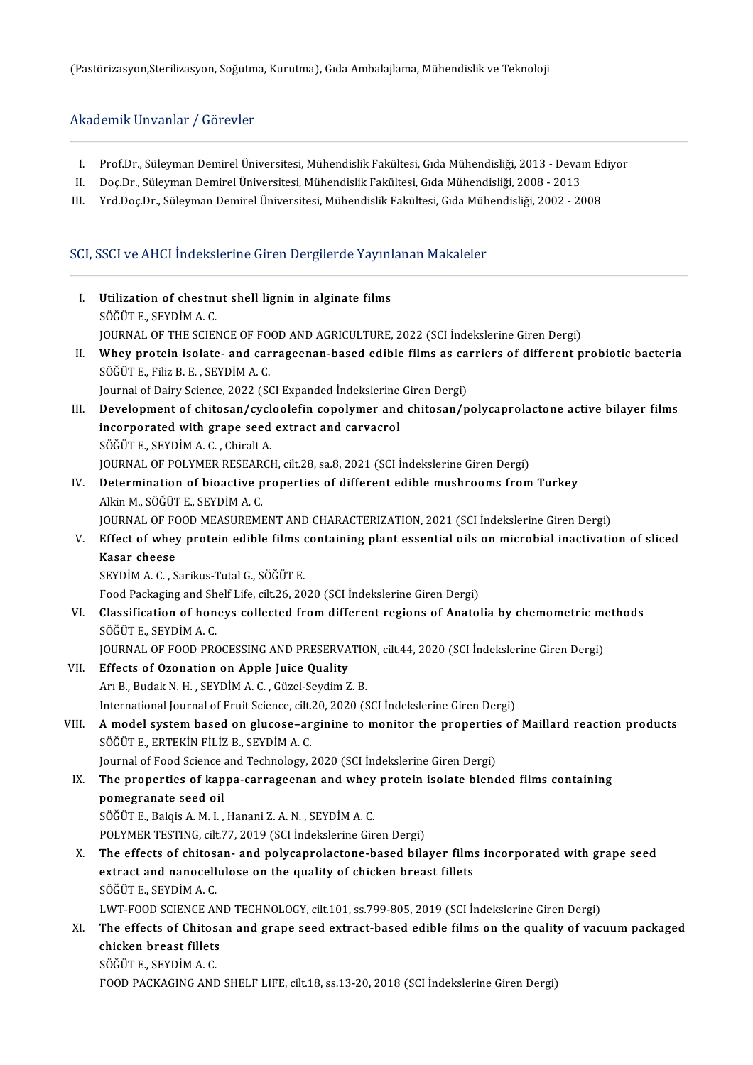## Akademik Unvanlar / Görevler

- kademik Unvanlar / Görevler<br>I. Prof.Dr., Süleyman Demirel Üniversitesi, Mühendislik Fakültesi, Gıda Mühendisliği, 2013 Devam Ediyor<br>I. Des Dr. Süleyman Demirel Üniversitesi, Mühendislik Fakültesi, Gıda Mühendisliği, 2009
- I. Prof.Dr., Süleyman Demirel Üniversitesi, Mühendislik Fakültesi, Gıda Mühendisliği, 2013 Devan<br>II. Doç.Dr., Süleyman Demirel Üniversitesi, Mühendislik Fakültesi, Gıda Mühendisliği, 2008 2013<br>II. Nrd Dos Dr. Süleyman
- I. Prof.Dr., Süleyman Demirel Üniversitesi, Mühendislik Fakültesi, Gıda Mühendisliği, 2013 Devam Ec<br>II. Doç.Dr., Süleyman Demirel Üniversitesi, Mühendislik Fakültesi, Gıda Mühendisliği, 2008 2013<br>III. Yrd.Doç.Dr., Süle

# III. Yrd.Doç.Dr., Süleyman Demirel Universitesi, Mühendislik Fakültesi, Gıda Müh<br>SCI, SSCI ve AHCI İndekslerine Giren Dergilerde Yayınlanan Makaleler<br>.

| Ι.    | Utilization of chestnut shell lignin in alginate films                                                                                                 |
|-------|--------------------------------------------------------------------------------------------------------------------------------------------------------|
|       | SÖĞÜT E, SEYDİM A.C.                                                                                                                                   |
|       | JOURNAL OF THE SCIENCE OF FOOD AND AGRICULTURE, 2022 (SCI Indekslerine Giren Dergi)                                                                    |
| Н.    | Whey protein isolate- and carrageenan-based edible films as carriers of different probiotic bacteria<br>SÖĞÜT E., Filiz B. E., SEYDİM A. C.            |
|       | Journal of Dairy Science, 2022 (SCI Expanded İndekslerine Giren Dergi)                                                                                 |
| III.  | Development of chitosan/cycloolefin copolymer and chitosan/polycaprolactone active bilayer films<br>incorporated with grape seed extract and carvacrol |
|       | SÖĞÜT E., SEYDİM A. C., Chiralt A.                                                                                                                     |
|       | JOURNAL OF POLYMER RESEARCH, cilt.28, sa.8, 2021 (SCI İndekslerine Giren Dergi)                                                                        |
| IV.   | Determination of bioactive properties of different edible mushrooms from Turkey<br>Alkin M., SÖĞÜT E., SEYDİM A.C.                                     |
|       | JOURNAL OF FOOD MEASUREMENT AND CHARACTERIZATION, 2021 (SCI Indekslerine Giren Dergi)                                                                  |
| V.    | Effect of whey protein edible films containing plant essential oils on microbial inactivation of sliced                                                |
|       | Kasar cheese                                                                                                                                           |
|       | SEYDIM A. C., Sarikus-Tutal G., SÖĞÜT E.                                                                                                               |
|       | Food Packaging and Shelf Life, cilt.26, 2020 (SCI Indekslerine Giren Dergi)                                                                            |
| VI.   | Classification of honeys collected from different regions of Anatolia by chemometric methods<br>SÖĞÜT E., SEYDİM A. C.                                 |
|       | JOURNAL OF FOOD PROCESSING AND PRESERVATION, cilt.44, 2020 (SCI İndekslerine Giren Dergi)                                                              |
| VII.  | Effects of Ozonation on Apple Juice Quality                                                                                                            |
|       | Arı B., Budak N. H., SEYDİM A. C., Güzel-Seydim Z. B.                                                                                                  |
|       | International Journal of Fruit Science, cilt.20, 2020 (SCI Indekslerine Giren Dergi)                                                                   |
| VIII. | A model system based on glucose-arginine to monitor the properties of Maillard reaction products<br>SÖĞÜT E., ERTEKİN FİLİZ B., SEYDİM A. C.           |
|       | Journal of Food Science and Technology, 2020 (SCI Indekslerine Giren Dergi)                                                                            |
| IX.   | The properties of kappa-carrageenan and whey protein isolate blended films containing<br>pomegranate seed oil                                          |
|       | SÖĞÜT E., Balqis A. M. I., Hanani Z. A. N., SEYDİM A. C.                                                                                               |
|       | POLYMER TESTING, cilt 77, 2019 (SCI İndekslerine Giren Dergi)                                                                                          |
| X.    | The effects of chitosan- and polycaprolactone-based bilayer films incorporated with grape seed                                                         |
|       | extract and nanocellulose on the quality of chicken breast fillets<br>SÖĞÜT E, SEYDİM A.C.                                                             |
|       | LWT-FOOD SCIENCE AND TECHNOLOGY, cilt.101, ss.799-805, 2019 (SCI Indekslerine Giren Dergi)                                                             |
| XI.   | The effects of Chitosan and grape seed extract-based edible films on the quality of vacuum packaged<br>chicken breast fillets                          |
|       | SÖĞÜT E., SEYDİM A. C.                                                                                                                                 |
|       |                                                                                                                                                        |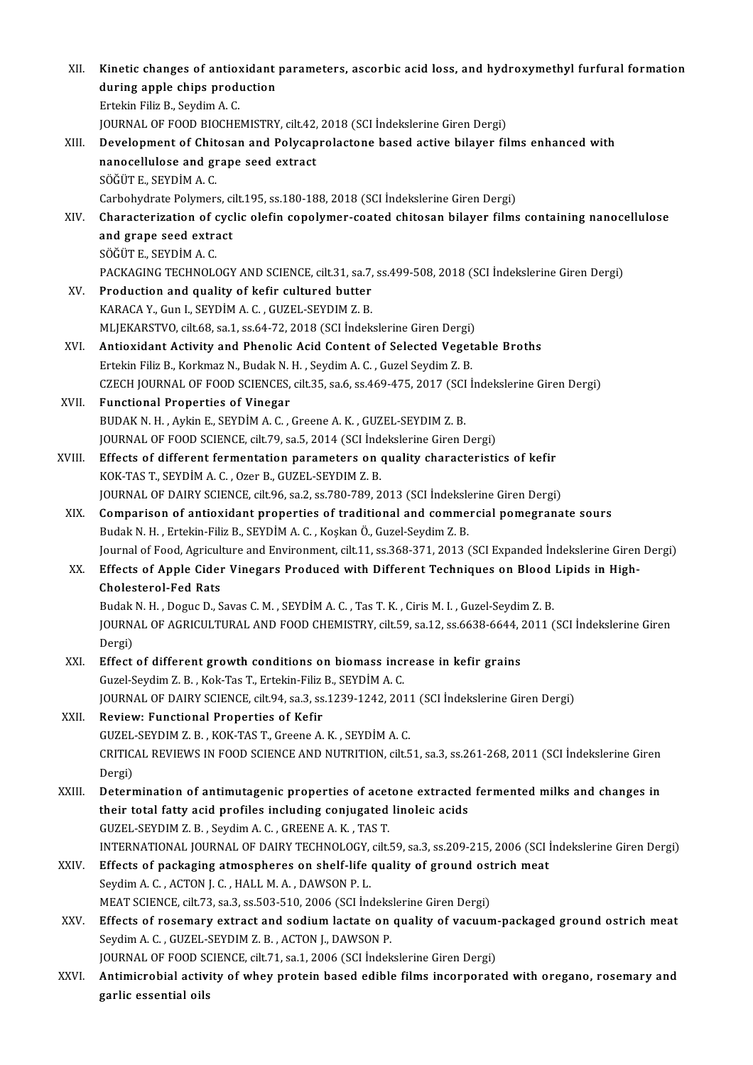| XII.   | Kinetic changes of antioxidant parameters, ascorbic acid loss, and hydroxymethyl furfural formation<br>during apple chips production |
|--------|--------------------------------------------------------------------------------------------------------------------------------------|
|        | Ertekin Filiz B, Seydim A C.                                                                                                         |
|        | JOURNAL OF FOOD BIOCHEMISTRY, cilt.42, 2018 (SCI İndekslerine Giren Dergi)                                                           |
| XIII.  | Development of Chitosan and Polycaprolactone based active bilayer films enhanced with                                                |
|        | nanocellulose and grape seed extract                                                                                                 |
|        | SÖĞÜT E., SEYDİM A. C.                                                                                                               |
|        | Carbohydrate Polymers, cilt.195, ss.180-188, 2018 (SCI İndekslerine Giren Dergi)                                                     |
| XIV.   | Characterization of cyclic olefin copolymer-coated chitosan bilayer films containing nanocellulose                                   |
|        | and grape seed extract                                                                                                               |
|        | SÖĞÜT E, SEYDİM A.C.                                                                                                                 |
|        | PACKAGING TECHNOLOGY AND SCIENCE, cilt.31, sa.7, ss.499-508, 2018 (SCI Indekslerine Giren Dergi)                                     |
| XV.    | Production and quality of kefir cultured butter                                                                                      |
|        | KARACA Y., Gun I., SEYDIM A. C., GUZEL-SEYDIM Z. B.                                                                                  |
|        | MLJEKARSTVO, cilt.68, sa.1, ss.64-72, 2018 (SCI Indekslerine Giren Dergi)                                                            |
| XVI.   | Antioxidant Activity and Phenolic Acid Content of Selected Vegetable Broths                                                          |
|        | Ertekin Filiz B., Korkmaz N., Budak N. H., Seydim A. C., Guzel Seydim Z. B.                                                          |
|        | CZECH JOURNAL OF FOOD SCIENCES, cilt.35, sa.6, ss.469-475, 2017 (SCI Indekslerine Giren Dergi)                                       |
| XVII.  | <b>Functional Properties of Vinegar</b>                                                                                              |
|        | BUDAK N. H., Aykin E., SEYDİM A. C., Greene A. K., GUZEL SEYDIM Z. B.                                                                |
|        | JOURNAL OF FOOD SCIENCE, cilt.79, sa.5, 2014 (SCI Indekslerine Giren Dergi)                                                          |
| XVIII. | Effects of different fermentation parameters on quality characteristics of kefir                                                     |
|        | KOK-TAS T., SEYDİM A. C., Ozer B., GUZEL-SEYDIM Z. B.                                                                                |
|        | JOURNAL OF DAIRY SCIENCE, cilt.96, sa.2, ss.780-789, 2013 (SCI İndekslerine Giren Dergi)                                             |
| XIX.   | Comparison of antioxidant properties of traditional and commercial pomegranate sours                                                 |
|        | Budak N. H., Ertekin-Filiz B., SEYDİM A. C., Koşkan Ö., Guzel-Seydim Z. B.                                                           |
|        | Journal of Food, Agriculture and Environment, cilt.11, ss.368-371, 2013 (SCI Expanded Indekslerine Giren Dergi)                      |
| XX.    | Effects of Apple Cider Vinegars Produced with Different Techniques on Blood Lipids in High-                                          |
|        | Cholesterol-Fed Rats                                                                                                                 |
|        | Budak N. H., Doguc D., Savas C. M., SEYDIM A. C., Tas T. K., Ciris M. I., Guzel-Seydim Z. B.                                         |
|        | JOURNAL OF AGRICULTURAL AND FOOD CHEMISTRY, cilt.59, sa.12, ss.6638-6644, 2011 (SCI Indekslerine Giren<br>Dergi)                     |
| XXI.   | Effect of different growth conditions on biomass increase in kefir grains                                                            |
|        | Guzel-Seydim Z. B., Kok-Tas T., Ertekin-Filiz B., SEYDİM A. C.                                                                       |
|        | JOURNAL OF DAIRY SCIENCE, cilt.94, sa.3, ss.1239-1242, 2011 (SCI İndekslerine Giren Dergi)                                           |
| XXII.  | Review: Functional Properties of Kefir                                                                                               |
|        | GUZEL-SEYDIM Z. B., KOK-TAS T., Greene A. K., SEYDIM A. C.                                                                           |
|        | CRITICAL REVIEWS IN FOOD SCIENCE AND NUTRITION, cilt.51, sa.3, ss.261-268, 2011 (SCI Indekslerine Giren                              |
|        | Dergi)                                                                                                                               |
| XXIII. | Determination of antimutagenic properties of acetone extracted fermented milks and changes in                                        |
|        | their total fatty acid profiles including conjugated linoleic acids                                                                  |
|        | GUZEL-SEYDIM Z.B., Seydim A.C., GREENE A.K., TAS T.                                                                                  |
|        | INTERNATIONAL JOURNAL OF DAIRY TECHNOLOGY, cilt.59, sa.3, ss.209-215, 2006 (SCI Indekslerine Giren Dergi)                            |
| XXIV.  | Effects of packaging atmospheres on shelf-life quality of ground ostrich meat                                                        |
|        | Seydim A.C., ACTON J.C., HALL M.A., DAWSON P.L.                                                                                      |
|        | MEAT SCIENCE, cilt 73, sa 3, ss 503-510, 2006 (SCI Indekslerine Giren Dergi)                                                         |
| XXV.   | Effects of rosemary extract and sodium lactate on quality of vacuum-packaged ground ostrich meat                                     |
|        | Seydim A. C., GUZEL-SEYDIM Z. B., ACTON J., DAWSON P.                                                                                |
|        | JOURNAL OF FOOD SCIENCE, cilt.71, sa.1, 2006 (SCI Indekslerine Giren Dergi)                                                          |
| XXVI.  | Antimicrobial activity of whey protein based edible films incorporated with oregano, rosemary and                                    |
|        | garlic essential oils                                                                                                                |
|        |                                                                                                                                      |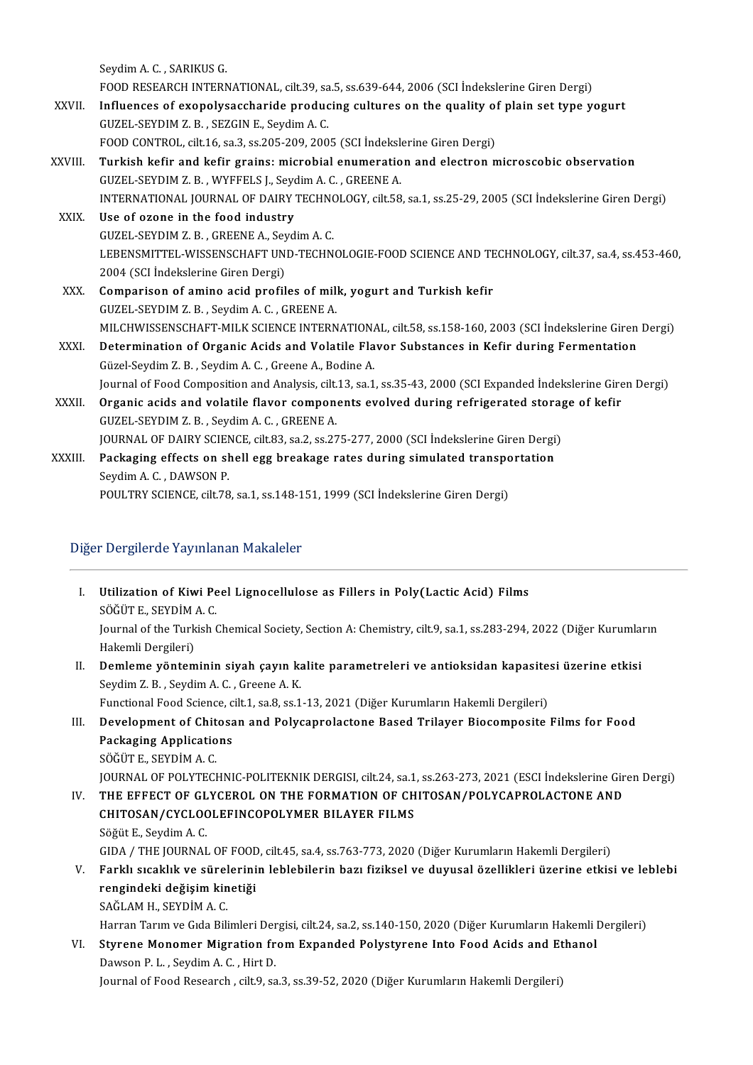SeydimA.C. ,SARIKUSG. FOODRESEARCHINTERNATIONAL, cilt.39, sa.5, ss.639-644,2006(SCI İndekslerineGirenDergi) Seydim A. C. , SARIKUS G.<br>FOOD RESEARCH INTERNATIONAL, cilt.39, sa.5, ss.639-644, 2006 (SCI Indekslerine Giren Dergi)<br>XXVII. Influences of exopolysaccharide producing cultures on the quality of plain set type yogurt<br>CUZEL FOOD RESEARCH INTERNATIONAL, cilt.39, sa<br>Influences of exopolysaccharide produc<br>GUZEL-SEYDIM Z. B. , SEZGIN E., Seydim A. C.<br>FOOD CONTROL cilt 16, se 3, se 205, 200, 200, Influences of exopolysaccharide producing cultures on the quality of<br>GUZEL-SEYDIM Z. B. , SEZGIN E., Seydim A. C.<br>FOOD CONTROL, cilt.16, sa.3, ss.205-209, 2005 (SCI İndekslerine Giren Dergi)<br>Turkish kafir and kafir arains: GUZEL-SEYDIM Z. B. , SEZGIN E., Seydim A. C.<br>FOOD CONTROL, cilt.16, sa.3, ss.205-209, 2005 (SCI Indekslerine Giren Dergi)<br>XXVIII. Turkish kefir and kefir grains: microbial enumeration and electron microscobic observati GUZEL-SEYDIMZ.B. ,WYFFELS J.,SeydimA.C. ,GREENEA. Turkish kefir and kefir grains: microbial enumeration and electron microscobic observation<br>GUZEL-SEYDIM Z. B. , WYFFELS J., Seydim A. C. , GREENE A.<br>INTERNATIONAL JOURNAL OF DAIRY TECHNOLOGY, cilt.58, sa.1, ss.25-29, 2005 GUZEL-SEYDIM Z. B., WYFFELS J., Seyc<br>INTERNATIONAL JOURNAL OF DAIRY<br>XXIX. Use of ozone in the food industry INTERNATIONAL JOURNAL OF DAIRY TECHNO<br>Use of ozone in the food industry<br>GUZEL-SEYDIM Z. B. , GREENE A., Seydim A. C.<br>LEPENSMITTEL WISSENSCHAET UND TECHN Use of ozone in the food industry<br>GUZEL-SEYDIM Z. B., GREENE A., Seydim A. C.<br>LEBENSMITTEL-WISSENSCHAFT UND-TECHNOLOGIE-FOOD SCIENCE AND TECHNOLOGY, cilt.37, sa.4, ss.453-460,<br>2004 (SCLIndekslerine Ciren Dergi) GUZEL-SEYDIM Z. B. , GREENE A., Sey<br>LEBENSMITTEL-WISSENSCHAFT UN<br>2004 (SCI İndekslerine Giren Dergi)<br>Comnarison of amine acid nrafil LEBENSMITTEL-WISSENSCHAFT UND-TECHNOLOGIE-FOOD SCIENCE AND TE<br>2004 (SCI Indekslerine Giren Dergi)<br>XXX. Comparison of amino acid profiles of milk, yogurt and Turkish kefir<br>CUZEL SEVDIM Z.B. Savdim A.G. CREENE A 2004 (SCI İndekslerine Giren Dergi)<br>Comparison of amino acid profiles of milk, yogurt and Turkish kefir<br>GUZEL-SEYDIM Z. B. , Seydim A. C. , GREENE A. Comparison of amino acid profiles of milk, yogurt and Turkish kefir<br>GUZEL-SEYDIM Z. B. , Seydim A. C. , GREENE A.<br>MILCHWISSENSCHAFT-MILK SCIENCE INTERNATIONAL, cilt.58, ss.158-160, 2003 (SCI İndekslerine Giren Dergi)<br>Deter GUZEL-SEYDIM Z. B., Seydim A. C., GREENE A.<br>MILCHWISSENSCHAFT-MILK SCIENCE INTERNATIONAL, cilt.58, ss.158-160, 2003 (SCI İndekslerine Giren<br>XXXI. Determination of Organic Acids and Volatile Flavor Substances in Kefir durin MILCHWISSENSCHAFT-MILK SCIENCE INTERNATION.<br>Determination of Organic Acids and Volatile Fla<br>Güzel-Seydim Z. B. , Seydim A. C. , Greene A., Bodine A.<br>Journal of Eood Composition and Anglysis, silt 13, so 1 Determination of Organic Acids and Volatile Flavor Substances in Kefir during Fermentation<br>Güzel-Seydim Z. B. , Seydim A. C. , Greene A., Bodine A.<br>Journal of Food Composition and Analysis, cilt.13, sa.1, ss.35-43, 2000 (S Güzel-Seydim Z. B. , Seydim A. C. , Greene A., Bodine A.<br>Journal of Food Composition and Analysis, cilt.13, sa.1, ss.35-43, 2000 (SCI Expanded Indekslerine Gire<br>XXXII. Organic acids and volatile flavor components evolved d Journal of Food Composition and Analysis, cilt.<br>Organic acids and volatile flavor compone<br>GUZEL-SEYDIM Z. B. , Seydim A. C. , GREENE A.<br>JOURNAL OF DAIRY SCIENCE, silt 92, se 2, se 27 Organic acids and volatile flavor components evolved during refrigerated storage of kefir<br>GUZEL-SEYDIM Z. B., Seydim A. C., GREENE A.<br>JOURNAL OF DAIRY SCIENCE, cilt.83, sa.2, ss.275-277, 2000 (SCI İndekslerine Giren Dergi) GUZEL-SEYDIM Z. B. , Seydim A. C. , GREENE A.<br>JOURNAL OF DAIRY SCIENCE, cilt.83, sa.2, ss.275-277, 2000 (SCI Indekslerine Giren Dergi)<br>XXXIII. Packaging effects on shell egg breakage rates during simulated transportation<br>S JOURNAL OF DAIRY SCIEN<br>Packaging effects on sh<br>Seydim A. C. , DAWSON P.<br>POULTPY SCIENCE silt 79 Seydim A. C., DAWSON P.<br>POULTRY SCIENCE, cilt.78, sa.1, ss.148-151, 1999 (SCI İndekslerine Giren Dergi)

## Diğer Dergilerde Yayınlanan Makaleler

|        | Diğer Dergilerde Yayınlanan Makaleler                                                                                                 |  |  |
|--------|---------------------------------------------------------------------------------------------------------------------------------------|--|--|
| L      | Utilization of Kiwi Peel Lignocellulose as Fillers in Poly(Lactic Acid) Films<br>SÖĞÜT E., SEYDİM A.C.                                |  |  |
|        | Journal of the Turkish Chemical Society, Section A: Chemistry, cilt.9, sa.1, ss.283-294, 2022 (Diğer Kurumların<br>Hakemli Dergileri) |  |  |
| $II$ . | Demleme yönteminin siyah çayın kalite parametreleri ve antioksidan kapasitesi üzerine etkisi<br>Seydim Z.B., Seydim A.C., Greene A.K. |  |  |
|        | Functional Food Science, cilt.1, sa.8, ss.1-13, 2021 (Diğer Kurumların Hakemli Dergileri)                                             |  |  |
| Ш      | Development of Chitosan and Polycaprolactone Based Trilayer Biocomposite Films for Food                                               |  |  |
|        | <b>Packaging Applications</b>                                                                                                         |  |  |
|        | SÖĞÜT E, SEYDİM A.C.                                                                                                                  |  |  |
|        | JOURNAL OF POLYTECHNIC-POLITEKNIK DERGISI, cilt.24, sa.1, ss.263-273, 2021 (ESCI İndekslerine Giren Dergi)                            |  |  |
| IV.    | THE EFFECT OF GLYCEROL ON THE FORMATION OF CHITOSAN/POLYCAPROLACTONE AND                                                              |  |  |
|        | CHITOSAN/CYCLOOLEFINCOPOLYMER BILAYER FILMS                                                                                           |  |  |
|        | Söğüt E, Seydim A C                                                                                                                   |  |  |
|        | GIDA / THE JOURNAL OF FOOD, cilt.45, sa.4, ss.763-773, 2020 (Diğer Kurumların Hakemli Dergileri)                                      |  |  |
| V.     | Farklı sıcaklık ve sürelerinin leblebilerin bazı fiziksel ve duyusal özellikleri üzerine etkisi ve leblebi                            |  |  |
|        | rengindeki değişim kinetiği                                                                                                           |  |  |
|        | SAĞLAM H., SEYDİM A.C.                                                                                                                |  |  |
|        | Harran Tarım ve Gıda Bilimleri Dergisi, cilt.24, sa.2, ss.140-150, 2020 (Diğer Kurumların Hakemli Dergileri)                          |  |  |
| VI.    | Styrene Monomer Migration from Expanded Polystyrene Into Food Acids and Ethanol                                                       |  |  |
|        | Dawson P. L., Seydim A. C., Hirt D.                                                                                                   |  |  |
|        | Journal of Food Research, cilt.9, sa.3, ss.39-52, 2020 (Diğer Kurumların Hakemli Dergileri)                                           |  |  |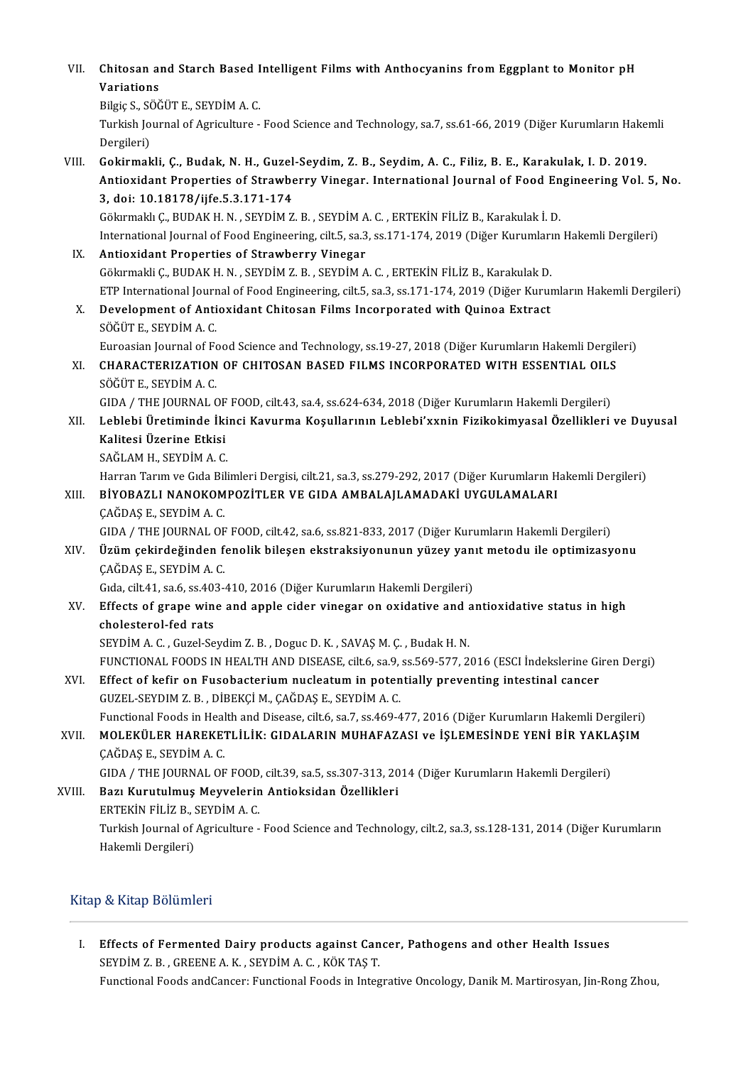VII. Chitosan and Starch Based Intelligent Films with Anthocyanins from Eggplant to Monitor pH<br>Waristians Chitosan al<br>Variations<br><sup>Pilgio S. SÖČ</sub></sup> Chitosan and Starch Based I<br>Variations<br>Bilgiç S., SÖĞÜT E., SEYDİM A. C.<br>Turkich Journal of Agrigulture

Bilgic S., SÖĞÜT E., SEYDİM A. C.

Variations<br>Bilgiç S., SÖĞÜT E., SEYDİM A. C.<br>Turkish Journal of Agriculture - Food Science and Technology, sa.7, ss.61-66, 2019 (Diğer Kurumların Hakemli<br>Dergileri)

VIII. Gokirmakli, C., Budak, N. H., Guzel-Seydim, Z. B., Seydim, A. C., Filiz, B. E., Karakulak, I. D. 2019. Dergileri)<br>Gokirmakli, Ç., Budak, N. H., Guzel-Seydim, Z. B., Seydim, A. C., Filiz, B. E., Karakulak, I. D. 2019.<br>Antioxidant Properties of Strawberry Vinegar. International Journal of Food Engineering Vol. 5, No.<br>3. doi: Gokirmakli, Ç., Budak, N. H., Guzel<br>Antioxidant Properties of Strawbe<br>3, doi: 10.18178/ijfe.5.3.171-174<br>Cökurmaklı C. BUDAK H.N., SEVDİM Z Antioxidant Properties of Strawberry Vinegar. International Journal of Food En<br>3, doi: 10.18178/ijfe.5.3.171-174<br>Gökırmaklı Ç., BUDAK H. N. , SEYDİM Z. B. , SEYDİM A. C. , ERTEKİN FİLİZ B., Karakulak İ. D.<br>International Jo 3, doi: 10.18178/ijfe.5.3.171-174<br>Gökırmaklı Ç., BUDAK H. N. , SEYDİM Z. B. , SEYDİM A. C. , ERTEKİN FİLİZ B., Karakulak İ. D.<br>International Journal of Food Engineering, cilt.5, sa.3, ss.171-174, 2019 (Diğer Kurumların Hak

- Gökirmaklı Ç., BUDAK H. N. , SEYDİM Z. B. , SEYDİM A<br>International Journal of Food Engineering, cilt.5, sa.3<br>IX. Antioxidant Properties of Strawberry Vinegar International Journal of Food Engineering, cilt.5, sa.3, ss.171-174, 2019 (Diğer Kurumları<br>**Antioxidant Properties of Strawberry Vinegar**<br>Gökırmakli Ç., BUDAK H. N. , SEYDİM Z. B. , SEYDİM A. C. , ERTEKİN FİLİZ B., Karakul Antioxidant Properties of Strawberry Vinegar<br>Gökırmakli Ç., BUDAK H. N. , SEYDİM Z. B. , SEYDİM A. C. , ERTEKİN FİLİZ B., Karakulak D.<br>ETP International Journal of Food Engineering, cilt.5, sa.3, ss.171-174, 2019 (Diğer Ku Gökırmakli Ç., BUDAK H. N. , SEYDİM Z. B. , SEYDİM A. C. , ERTEKİN FİLİZ B., Karakulak D.<br>ETP International Journal of Food Engineering, cilt.5, sa.3, ss.171-174, 2019 (Diğer Kuruı<br>X. Development of Antioxidant Chitosan Fi
- ETP International Journ<br>Development of Anti<br>SÖĞÜT E., SEYDİM A. C.<br>Eurossian Journal of E. Development of Antioxidant Chitosan Films Incorporated with Quinoa Extract<br>SÖĞÜT E., SEYDİM A. C.<br>Euroasian Journal of Food Science and Technology, ss.19-27, 2018 (Diğer Kurumların Hakemli Dergileri)<br>CHARACTERIZATION OF CH

## SÖĞÜT E., SEYDİM A. C.<br>Euroasian Journal of Food Science and Technology, ss.19-27, 2018 (Diğer Kurumların Hakemli Dergil<br>XI. CHARACTERIZATION OF CHITOSAN BASED FILMS INCORPORATED WITH ESSENTIAL OILS<br>SÖĞÜT E.. SEYDİM A. Euroasian Journal of Fe<br>CHARACTERIZATION<br>SÖĞÜT E., SEYDİM A. C.<br>CIDA / THE JOURNAL G

GIDA / THE JOURNAL OF FOOD, cilt.43, sa.4, ss.624-634, 2018 (Diğer Kurumların Hakemli Dergileri)

SÖĞÜT E., SEYDİM A. C.<br>GIDA / THE JOURNAL OF FOOD, cilt.43, sa.4, ss.624-634, 2018 (Diğer Kurumların Hakemli Dergileri)<br>XII. Leblebi Üretiminde İkinci Kavurma Koşullarının Leblebi'xxnin Fizikokimyasal Özellikleri ve Du GIDA / THE JOURNAL OF<br>Leblebi Üretiminde İki<br>Kalitesi Üzerine Etkisi<br>SAČLAM H. SEVDİM A.C Leblebi Üretiminde İki<br>Kalitesi Üzerine Etkisi<br>SAĞLAM H., SEYDİM A. C.<br>Harran Tarım ve Gıda Bili Kalitesi Üzerine Etkisi<br>SAĞLAM H., SEYDİM A. C.<br>Harran Tarım ve Gıda Bilimleri Dergisi, cilt.21, sa.3, ss.279-292, 2017 (Diğer Kurumların Hakemli Dergileri)<br>RİYORAZLI NANOKOMROZİTLER VE GIDA AMRALALLAMADAKİ UYGULAMALARL

## SAĞLAM H., SEYDİM A. C.<br>Harran Tarım ve Gıda Bilimleri Dergisi, cilt.21, sa.3, ss.279-292, 2017 (Diğer Kurumların H<br>XIII. BİYOBAZLI NANOKOMPOZİTLER VE GIDA AMBALAJLAMADAKİ UYGULAMALARI<br>ÇAĞDAŞ E., SEYDİM A. C. Harran Tarım ve Gıda Bi<mark>l</mark><br>BİYOBAZLI NANOKOM<br>ÇAĞDAŞ E., SEYDİM A. C.<br>CIDA / TUE JOUPNAL OF

GIDA / THE JOURNAL OF FOOD, cilt.42, sa.6, ss.821-833, 2017 (Diğer Kurumların Hakemli Dergileri)

## CAĞDAŞ E., SEYDİM A. C.<br>GIDA / THE JOURNAL OF FOOD, cilt.42, sa.6, ss.821-833, 2017 (Diğer Kurumların Hakemli Dergileri)<br>XIV. Üzüm çekirdeğinden fenolik bileşen ekstraksiyonunun yüzey yanıt metodu ile optimizasyonu<br>CAĞ GIDA / THE JOURNAL OF<br>**Üzüm çekirdeğinden f**<br>ÇAĞDAŞ E., SEYDİM A. C. Üzüm çekirdeğinden fenolik bileşen ekstraksiyonunun yüzey yan<br>ÇAĞDAŞ E., SEYDİM A. C.<br>Gıda, cilt.41, sa.6, ss.403-410, 2016 (Diğer Kurumların Hakemli Dergileri)<br>Effects of svane wine and annla sider wineser en evidetiye an

Gıda, cilt.41, sa.6, ss.403-410, 2016 (Diğer Kurumların Hakemli Dergileri)

# CAĞDAŞ E., SEYDİM A. C.<br>Gıda, cilt.41, sa.6, ss.403-410, 2016 (Diğer Kurumların Hakemli Dergileri)<br>XV. Effects of grape wine and apple cider vinegar on oxidative and antioxidative status in high<br>cholesterol-fed rats

SEYDİM A.C., Guzel-Seydim Z.B., Doguc D.K., SAVAŞ M.Ç., Budak H.N. FUNCTIONAL FOODS IN HEALTH AND DISEASE, cilt.6, sa.9, ss.569-577, 2016 (ESCI İndekslerine Giren Dergi) SEYDİM A. C., Guzel-Seydim Z. B., Doguc D. K., SAVAŞ M. Ç., Budak H. N.<br>FUNCTIONAL FOODS IN HEALTH AND DISEASE, cilt.6, sa.9, ss.569-577, 2016 (ESCI İndekslerine Gi<br>XVI. Effect of kefir on Fusobacterium nucleatum in potent

FUNCTIONAL FOODS IN HEALTH AND DISEASE, cilt.6, sa.9,<br>Effect of kefir on Fusobacterium nucleatum in poten<br>GUZEL-SEYDIM Z. B. , DİBEKÇİ M., ÇAĞDAŞ E., SEYDİM A. C.<br>Eunstianal Foods in Health and Disease, silt 6, sa 7, sa 46 Effect of kefir on Fusobacterium nucleatum in potentially preventing intestinal cancer<br>GUZEL-SEYDIM Z. B. , DİBEKÇİ M., ÇAĞDAŞ E., SEYDİM A. C.<br>Functional Foods in Health and Disease, cilt.6, sa.7, ss.469-477, 2016 (Diğer

GUZEL-SEYDIM Z. B. , DİBEKÇİ M., ÇAĞDAŞ E., SEYDİM A. C.<br>Functional Foods in Health and Disease, cilt.6, sa.7, ss.469-477, 2016 (Diğer Kurumların Hakemli Dergileri)<br>XVII. MOLEKÜLER HAREKETLİLİK: GIDALARIN MUHAFAZASI ve Functional Foods in Heal<br>MOLEKÜLER HAREKE.<br>ÇAĞDAŞ E., SEYDİM A. C.<br>CIDA / THE JOUPNAL OF MOLEKÜLER HAREKETLİLİK: GIDALARIN MUHAFAZASI ve İŞLEMESİNDE YENİ BİR YAKL*ı*<br>ÇAĞDAŞ E., SEYDİM A. C.<br>GIDA / THE JOURNAL OF FOOD, cilt.39, sa.5, ss.307-313, 2014 (Diğer Kurumların Hakemli Dergileri)<br>Bazı Kurutulmus Mouveler CAĞDAŞ E., SEYDİM A. C.<br>GIDA / THE JOURNAL OF FOOD, cilt.39, sa.5, ss.307-313, 20<br>XVIII. Bazı Kurutulmuş Meyvelerin Antioksidan Özellikleri

GIDA / THE JOURNAL OF FOOD,<br>Bazı Kurutulmuş Meyvelerin<br>ERTEKİN FİLİZ B., SEYDİM A. C.<br>Turkich Journal of Agriculture Bazı Kurutulmuş Meyvelerin Antioksidan Özellikleri<br>ERTEKİN FİLİZ B., SEYDİM A. C.<br>Turkish Journal of Agriculture - Food Science and Technology, cilt.2, sa.3, ss.128-131, 2014 (Diğer Kurumların<br>Hakemli Dergileri) ERTEKİN FİLİZ B., SEYDİM A.C.

## Kitap & Kitap Bölümleri

I. Effects of Fermented Dairy products against Cancer, Pathogens and other Health Issues SEYDİMZ.B. ,GREENEA.K. ,SEYDİMA.C. ,KÖKTAŞT. Functional Foods andCancer: Functional Foods in Integrative Oncology, Danik M. Martirosyan, Jin-Rong Zhou,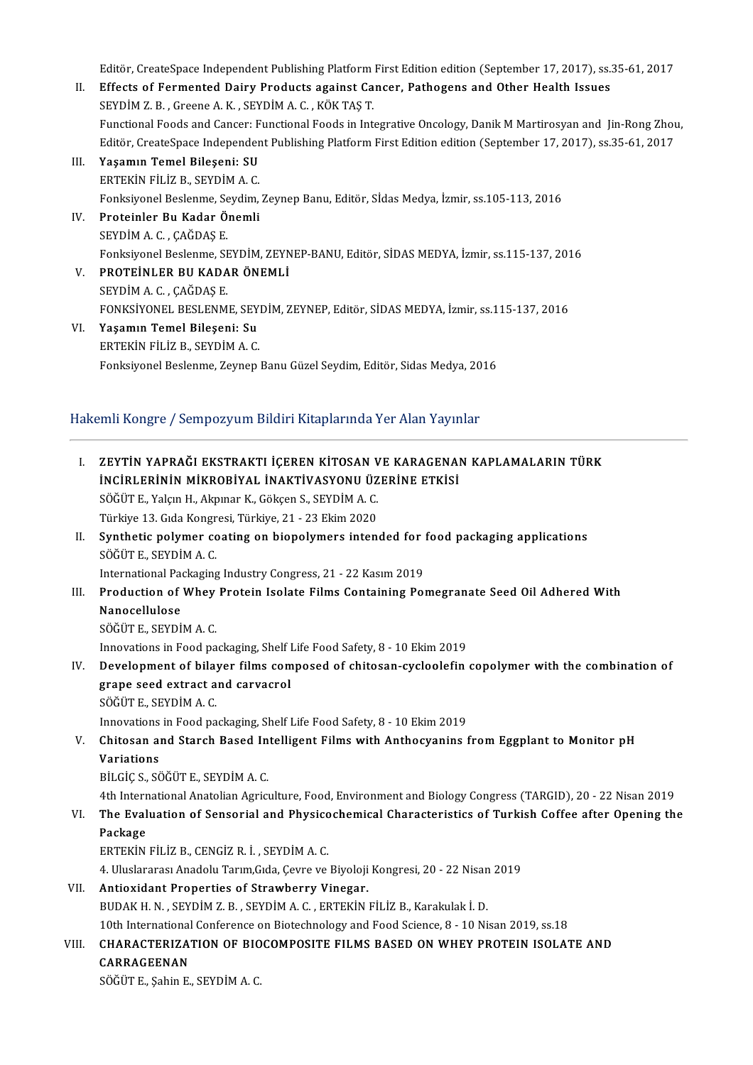Editör, CreateSpace Independent Publishing Platform First Edition edition (September 17, 2017), ss.35-61, 2017

- II. Effects of Fermented Dairy Products against Cancer, Pathogens and Other Health Issues SEYDİMZ.B. ,GreeneA.K. ,SEYDİMA.C. ,KÖKTAŞT. Functional Foods and Cancer: Functional Foods in Integrative Oncology, Danik M Martirosyan and Jin-Rong Zhou, SEYDİM Z. B. , Greene A. K. , SEYDİM A. C. , KÖK TAŞ T.<br>Functional Foods and Cancer: Functional Foods in Integrative Oncology, Danik M Martirosyan and Jin-Rong Zhou<br>Editör, CreateSpace Independent Publishing Platform Firs
- III. Yaşamın Temel Bileşeni: SU<br>ERTEKİN FİLİZ B., SEYDİM A.C. Editör, CreateSpace Independer<br>Yaşamın Temel Bileşeni: SU<br>ERTEKİN FİLİZ B., SEYDİM A. C.<br>Fonksiyonal Başlanma Saydim Yaşamın Temel Bileşeni: SU<br>ERTEKİN FİLİZ B., SEYDİM A. C.<br>Fonksiyonel Beslenme, Seydim, Zeynep Banu, Editör, Sİdas Medya, İzmir, ss.105-113, 2016<br>Preteinler Bu Kadar Önemli
- IV. Proteinler Bu Kadar Önemli Fonksiyonel Beslenme, Se<br><mark>Proteinler Bu Kadar Ö</mark><br>SEYDİM A. C. , ÇAĞDAŞ E.<br>Fonksiyonel Beslanme, SE Proteinler Bu Kadar Önemli<br>SEYDİM A. C. , ÇAĞDAŞ E.<br>Fonksiyonel Beslenme, SEYDİM, ZEYNEP-BANU, Editör, SİDAS MEDYA, İzmir, ss.115-137, 2016<br>PROTEİNI ER BILKADAR ÖNEMLİ
- V. PROTEİNLER BU KADAR ÖNEMLİ Fonksiyonel Beslenme, SE<br>PROTEINLER BU KADA<br>SEYDİM A. C. , ÇAĞDAŞ E.<br>FONKSİYONEL BESLENM PROTEİNLER BU KADAR ÖNEMLİ<br>SEYDİM A. C. , ÇAĞDAŞ E.<br>FONKSİYONEL BESLENME, SEYDİM, ZEYNEP, Editör, SİDAS MEDYA, İzmir, ss.115-137, 2016<br>Yaşamın Tamel Bilasani: Su
- VI. Yaşamın Temel Bileşeni: Su FONKSİYONEL BESLENME, SEY<br>Yaşamın Temel Bileşeni: Su<br>ERTEKİN FİLİZ B., SEYDİM A. C.<br>Fenksiyonel Beslanme, Zeynan Fonksiyonel Beslenme, Zeynep Banu Güzel Seydim, Editör, Sidas Medya, 2016

# Fonksiyonel Beslenme, Zeynep Banu Güzel Seydim, Editör, Sidas Medya, 20<br>Hakemli Kongre / Sempozyum Bildiri Kitaplarında Yer Alan Yayınlar<br>-

|       | -Hakemli Kongre / Sempozyum Bildiri Kitaplarında Yer Alan Yayınlar                                           |  |
|-------|--------------------------------------------------------------------------------------------------------------|--|
| L.    | ZEYTİN YAPRAĞI EKSTRAKTI İÇEREN KİTOSAN VE KARAGENAN KAPLAMALARIN TÜRK                                       |  |
|       | İNCİRLERİNİN MİKROBİYAL İNAKTİVASYONU ÜZERİNE ETKİSİ                                                         |  |
|       | SÖĞÜT E., Yalçın H., Akpınar K., Gökçen S., SEYDİM A. C.                                                     |  |
|       | Türkiye 13 Gıda Kongresi, Türkiye, 21 - 23 Ekim 2020                                                         |  |
| II.   | Synthetic polymer coating on biopolymers intended for food packaging applications<br>SÖĞÜT E., SEYDİM A.C.   |  |
|       | International Packaging Industry Congress, 21 - 22 Kasım 2019                                                |  |
| III.  | Production of Whey Protein Isolate Films Containing Pomegranate Seed Oil Adhered With                        |  |
|       | Nanocellulose                                                                                                |  |
|       | SÖĞÜT E., SEYDİM A.C.                                                                                        |  |
|       | Innovations in Food packaging, Shelf Life Food Safety, 8 - 10 Ekim 2019                                      |  |
| IV.   | Development of bilayer films composed of chitosan-cycloolefin copolymer with the combination of              |  |
|       | grape seed extract and carvacrol                                                                             |  |
|       | SÖĞÜT E, SEYDİM A.C.                                                                                         |  |
|       | Innovations in Food packaging, Shelf Life Food Safety, 8 - 10 Ekim 2019                                      |  |
| V.    | Chitosan and Starch Based Intelligent Films with Anthocyanins from Eggplant to Monitor pH                    |  |
|       | <b>Variations</b>                                                                                            |  |
|       | BILGIÇ S., SÖĞÜT E., SEYDİM A.C.                                                                             |  |
|       | 4th International Anatolian Agriculture, Food, Environment and Biology Congress (TARGID), 20 - 22 Nisan 2019 |  |
| VI.   | The Evaluation of Sensorial and Physicochemical Characteristics of Turkish Coffee after Opening the          |  |
|       | Package                                                                                                      |  |
|       | ERTEKIN FILIZ B., CENGIZ R. I., SEYDIM A. C.                                                                 |  |
|       | 4. Uluslararası Anadolu Tarım, Gıda, Çevre ve Biyoloji Kongresi, 20 - 22 Nisan 2019                          |  |
| VII.  | Antioxidant Properties of Strawberry Vinegar.                                                                |  |
|       | BUDAK H. N., SEYDİM Z. B., SEYDİM A. C., ERTEKİN FİLİZ B., Karakulak İ. D.                                   |  |
|       | 10th International Conference on Biotechnology and Food Science, 8 - 10 Nisan 2019, ss.18                    |  |
| VIII. | CHARACTERIZATION OF BIOCOMPOSITE FILMS BASED ON WHEY PROTEIN ISOLATE AND                                     |  |
|       | CARRAGEENAN                                                                                                  |  |
|       | SÖĞÜT E., Şahin E., SEYDİM A. C.                                                                             |  |
|       |                                                                                                              |  |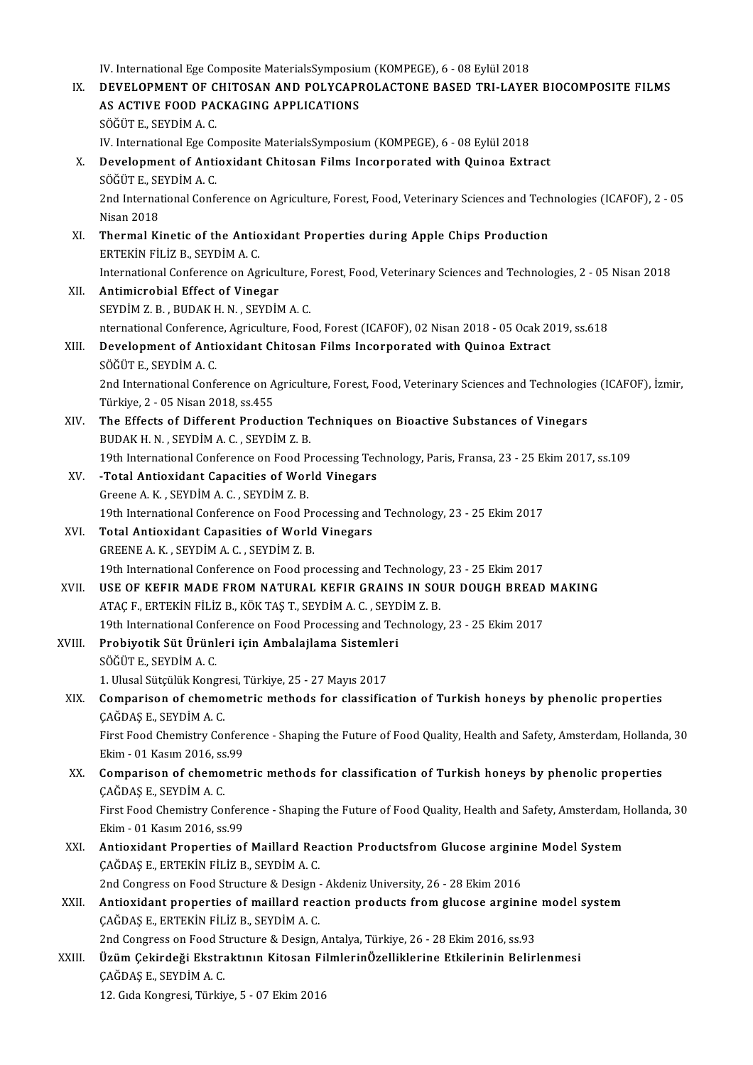IV. International Ege Composite MaterialsSymposium (KOMPEGE), 6 - 08 Eylül 2018<br>DEVELOPMENT OF CHITOSAN AND POLYCAPPOLACTONE PASED TPL LAYE

IV. International Ege Composite MaterialsSymposium (KOMPEGE), 6 - 08 Eylül 2018<br>IX. DEVELOPMENT OF CHITOSAN AND POLYCAPROLACTONE BASED TRI-LAYER BIOCOMPOSITE FILMS IV. International Ege Composite MaterialsSymposiu:<br>DEVELOPMENT OF CHITOSAN AND POLYCAPF<br>AS ACTIVE FOOD PACKAGING APPLICATIONS DEVELOPMENT OF C<br>AS ACTIVE FOOD PA<br>SÖĞÜT E., SEYDİM A. C.<br>W. International Ege Ce AS ACTIVE FOOD PACKAGING APPLICATIONS<br>SÖĞÜT E., SEYDİM A. C.<br>IV. International Ege Composite MaterialsSymposium (KOMPEGE), 6 - 08 Eylül 2018<br>Davelopment of Antioxidant Chitosan Eilms Insernarated with Quinea Extr SÖĞÜT E., SEYDİM A. C.<br>IV. International Ege Composite MaterialsSymposium (KOMPEGE), 6 - 08 Eylül 2018<br>X. Development of Antioxidant Chitosan Films Incorporated with Quinoa Extract<br>SÖĞÜT E., SEYDİM A. C. IV. International Ege Co<br>Development of Anti<br>SÖĞÜT E., SEYDİM A. C.<br>2nd International Confe Development of Antioxidant Chitosan Films Incorporated with Quinoa Extract<br>SÖĞÜT E., SEYDİM A. C.<br>2nd International Conference on Agriculture, Forest, Food, Veterinary Sciences and Technologies (ICAFOF), 2 - 05<br>Nisan 2019 SÖĞÜT E., SE<br>2nd Internat<br>Nisan 2018<br>Thermal Ki 2nd International Conference on Agriculture, Forest, Food, Veterinary Sciences and Tech<br>Nisan 2018<br>XI. Thermal Kinetic of the Antioxidant Properties during Apple Chips Production<br>EPTEKIN FU IZ P. SEVDIM A.C. Nisan 2018<br>Thermal Kinetic of the Antio<br>ERTEKİN FİLİZ B., SEYDİM A. C.<br>International Conference on Ag ERTEKİN FİLİZ B., SEYDİM A. C.<br>International Conference on Agriculture, Forest, Food, Veterinary Sciences and Technologies, 2 - 05 Nisan 2018 XII. Antimicrobial Effect of Vinegar SEYDİMZ.B. ,BUDAKH.N. ,SEYDİMA.C. Antimicrobial Effect of Vinegar<br>SEYDIM Z. B. , BUDAK H. N. , SEYDIM A. C.<br>nternational Conference, Agriculture, Food, Forest (ICAFOF), 02 Nisan 2018 - 05 Ocak 2019, ss.618<br>Davelopment of Antioxident Chitosen Films Insernan XIII. Development of Antioxidant Chitosan Films Incorporated with Quinoa Extract SÖĞÜT E., SEYDIM A.C. nternational Conferenc<br>Development of Anti<br>SÖĞÜT E., SEYDİM A. C.<br>2nd International Confe Development of Antioxidant Chitosan Films Incorporated with Quinoa Extract<br>SÖĞÜT E., SEYDİM A. C.<br>2nd International Conference on Agriculture, Forest, Food, Veterinary Sciences and Technologies (ICAFOF), İzmir,<br>Türkiye 2. SÖĞÜT E., SEYDİM A. C.<br>2nd International Conference on A<br>Türkiye, 2 - 05 Nisan 2018, ss.455<br>The Effects of Different Produc 2nd International Conference on Agriculture, Forest, Food, Veterinary Sciences and Technologie<br>Türkiye, 2 - 05 Nisan 2018, ss.455<br>XIV. The Effects of Different Production Techniques on Bioactive Substances of Vinegars<br>PUDA Türkiye, 2 - 05 Nisan 2018, ss.455<br>The Effects of Different Production T<br>BUDAK H. N. , SEYDİM A. C. , SEYDİM Z. B.<br>19th International Conference on Eood B. The Effects of Different Production Techniques on Bioactive Substances of Vinegars<br>BUDAK H. N. , SEYDİM A. C. , SEYDİM Z. B.<br>19th International Conference on Food Processing Technology, Paris, Fransa, 23 - 25 Ekim 2017, ss BUDAK H. N., SEYDİM A. C., SEYDİM Z. B.<br>19th International Conference on Food Processing Tec<br>XV. -Total Antioxidant Capacities of World Vinegars<br>Creeps A. K. SEYDİM A.C. SEYDİM Z. B. 19th International Conference on Food P<br>-Total Antioxidant Capacities of Wor<br>Greene A.K., SEYDİMA.C., SEYDİMZ.B. Greene A. K., SEYDİM A. C., SEYDİM Z. B.<br>19th International Conference on Food Processing and Technology, 23 - 25 Ekim 2017 Greene A. K., SEYDIM A. C., SEYDIM Z. B.<br>19th International Conference on Food Processing an<br>XVI. Total Antioxidant Capasities of World Vinegars<br>CREENE A. K. SEVDIM A. C., SEVDIM 7. P. 19th International Conference on Food Pr<br>**Total Antioxidant Capasities of World**<br>GREENE A. K. , SEYDİM A. C. , SEYDİM Z. B.<br>19th International Conference on Eood pr GREENE A. K., SEYDIM A. C., SEYDIM Z. B.<br>19th International Conference on Food processing and Technology, 23 - 25 Ekim 2017 GREENE A. K., SEYDIM A. C., SEYDIM Z. B.<br>19th International Conference on Food processing and Technology, 23 - 25 Ekim 2017<br>XVII. USE OF KEFIR MADE FROM NATURAL KEFIR GRAINS IN SOUR DOUGH BREAD MAKING 19th International Conference on Food processing and Technology<br>USE OF KEFIR MADE FROM NATURAL KEFIR GRAINS IN SOI<br>ATAÇ F., ERTEKİN FİLİZ B., KÖK TAŞ T., SEYDİM A. C. , SEYDİM Z. B.<br>19th International Conference on Eood Pr USE OF KEFIR MADE FROM NATURAL KEFIR GRAINS IN SOUR DOUGH BREAD<br>ATAÇ F., ERTEKİN FİLİZ B., KÖK TAŞ T., SEYDİM A. C. , SEYDİM Z. B.<br>19th International Conference on Food Processing and Technology, 23 - 25 Ekim 2017<br>Probivat ATAÇ F., ERTEKİN FİLİZ B., KÖK TAŞ T., SEYDİM A. C. , SEYL<br>19th International Conference on Food Processing and Tec<br>XVIII. Probiyotik Süt Ürünleri için Ambalajlama Sistemleri<br>8ÖĞÜT E. SEYDİM A. G 19th International Conf<br>Probiyotik Süt Ürünl<br>SÖĞÜTE., SEYDİM A. C.<br>1. Ulugal Sütaülük Kong Probiyotik Süt Ürünleri için Ambalajlama Sistemle:<br>SÖĞÜT E., SEYDİM A. C.<br>1. Ulusal Sütçülük Kongresi, Türkiye, 25 - 27 Mayıs 2017<br>Camparisan of shamametris methada fan slassifis: SÖĞÜT E., SEYDİM A. C.<br>1. Ulusal Sütçülük Kongresi, Türkiye, 25 - 27 Mayıs 2017<br>XIX. Comparison of chemometric methods for classification of Turkish honeys by phenolic properties<br>CAĞDAŞ E., SEYDİM A. C. 1. Ulusal Sütçülük Kongre<br>**Comparison of chemo**<br>ÇAĞDAŞ E., SEYDİM A. C.<br>First Food Chemistru Con Comparison of chemometric methods for classification of Turkish honeys by phenolic properties<br>ÇAĞDAŞ E., SEYDİM A. C.<br>First Food Chemistry Conference - Shaping the Future of Food Quality, Health and Safety, Amsterdam, Holl CAĞDAŞ E., SEYDİM A. C.<br>First Food Chemistry Confer<br>Ekim - 01 Kasım 2016, ss.99<br>Comnarison of shomomat First Food Chemistry Conference - Shaping the Future of Food Quality, Health and Safety, Amsterdam, Holland:<br>Ekim - 01 Kasım 2016, ss.99<br>XX. Comparison of chemometric methods for classification of Turkish honeys by phenoli Ekim - 01 Kasım 2016, ss.99<br>XX. Comparison of chemometric methods for classification of Turkish honeys by phenolic properties<br>CAĞDAŞ E., SEYDİM A. C. Comparison of chemometric methods for classification of Turkish honeys by phenolic properties<br>ÇAĞDAŞ E., SEYDİM A. C.<br>First Food Chemistry Conference - Shaping the Future of Food Quality, Health and Safety, Amsterdam, Holl CAĞDAŞ E., SEYDİM A. C.<br>First Food Chemistry Confer<br>Ekim - 01 Kasım 2016, ss.99<br>Antiovident Properties of First Food Chemistry Conference - Shaping the Future of Food Quality, Health and Safety, Amsterdam, F<br>Ekim - 01 Kasım 2016, ss.99<br>XXI. Antioxidant Properties of Maillard Reaction Productsfrom Glucose arginine Model System Ekim - 01 Kasım 2016, ss.99<br><mark>Antioxidant Properties of Maillard Rea</mark><br>ÇAĞDAŞ E., ERTEKİN FİLİZ B., SEYDİM A. C.<br>2nd Congress on Food Structure & Design Antioxidant Properties of Maillard Reaction Productsfrom Glucose argini<br>CAĞDAŞ E., ERTEKİN FİLİZ B., SEYDİM A. C.<br>2nd Congress on Food Structure & Design - Akdeniz University, 26 - 28 Ekim 2016<br>Antioxidant proporties of ma CAĞDAŞ E., ERTEKİN FİLİZ B., SEYDİM A. C.<br>2nd Congress on Food Structure & Design - Akdeniz University, 26 - 28 Ekim 2016<br>XXII. Antioxidant properties of maillard reaction products from glucose arginine model system<br>CA 2nd Congress on Food Structure & Design - Akdeniz University, 26 - 28 Ekim 2016<br>Antioxidant properties of maillard reaction products from glucose argini<br>CAĞDAŞ E., ERTEKİN FİLİZ B., SEYDİM A. C. Antioxidant properties of maillard reaction products from glucose arginine<br>ÇAĞDAŞ E., ERTEKİN FİLİZ B., SEYDİM A. C.<br>2nd Congress on Food Structure & Design, Antalya, Türkiye, 26 - 28 Ekim 2016, ss.93<br>Üzüm Coltindeği Ekstr XXIII. Üzüm Çekirdeği Ekstraktının Kitosan FilmlerinÖzelliklerine Etkilerinin Belirlenmesi<br>CAĞDAŞ E., SEYDİM A. C. 2nd Congress on Food Structure & Design, Antalya, Türkiye, 26 - 28 Ekim 2016, ss 93 12.GıdaKongresi,Türkiye,5-07Ekim2016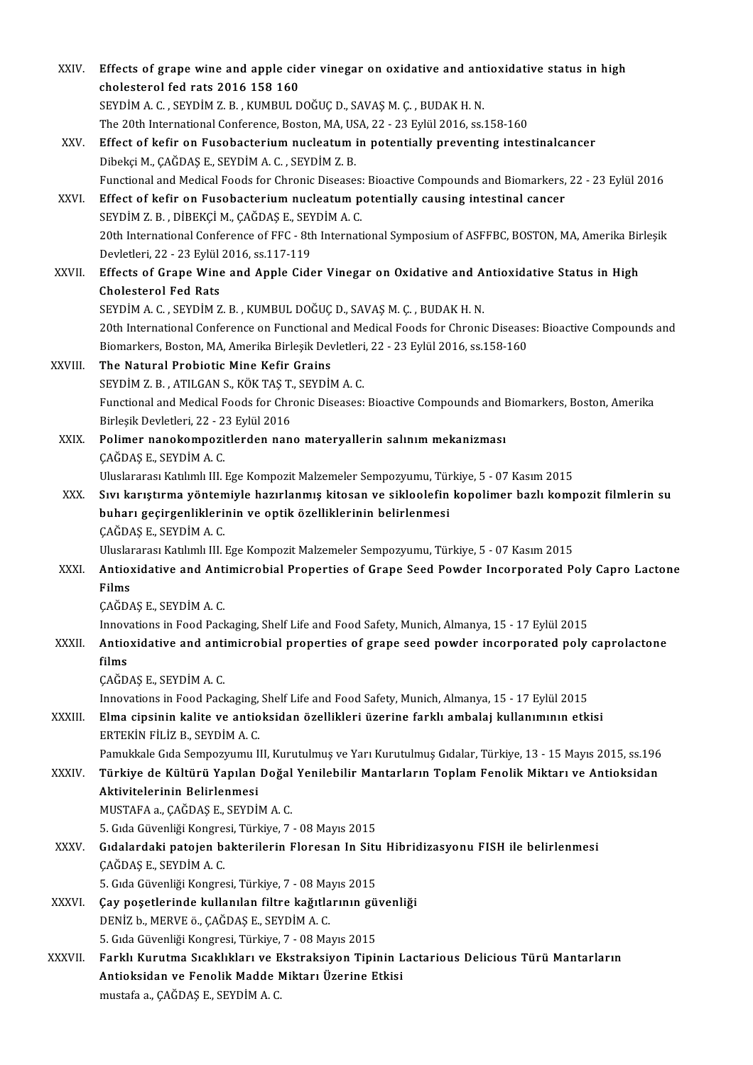| XXIV.   | Effects of grape wine and apple cider vinegar on oxidative and antioxidative status in high<br>cholesterol fed rats 2016 158 160                                                                                              |
|---------|-------------------------------------------------------------------------------------------------------------------------------------------------------------------------------------------------------------------------------|
|         | SEYDİM A.C., SEYDİM Z.B., KUMBUL DOĞUÇ D., SAVAŞ M.Ç., BUDAK H.N.                                                                                                                                                             |
|         | The 20th International Conference, Boston, MA, USA, 22 - 23 Eylül 2016, ss.158-160                                                                                                                                            |
| XXV.    | Effect of kefir on Fusobacterium nucleatum in potentially preventing intestinalcancer                                                                                                                                         |
|         | Dibekçi M., ÇAĞDAŞ E., SEYDİM A. C., SEYDİM Z. B.                                                                                                                                                                             |
| XXVI.   | Functional and Medical Foods for Chronic Diseases: Bioactive Compounds and Biomarkers, 22 - 23 Eylül 2016<br>Effect of kefir on Fusobacterium nucleatum potentially causing intestinal cancer                                 |
|         | SEYDİM Z.B., DİBEKÇİ M., ÇAĞDAŞ E., SEYDİM A.C.                                                                                                                                                                               |
|         | 20th International Conference of FFC - 8th International Symposium of ASFFBC, BOSTON, MA, Amerika Birleşik<br>Devletleri, 22 - 23 Eylül 2016, ss 117-119                                                                      |
| XXVII.  | Effects of Grape Wine and Apple Cider Vinegar on Oxidative and Antioxidative Status in High<br><b>Cholesterol Fed Rats</b>                                                                                                    |
|         | SEYDIM A. C., SEYDIM Z. B., KUMBUL DOĞUÇ D., SAVAŞ M. Ç., BUDAK H. N.                                                                                                                                                         |
|         | 20th International Conference on Functional and Medical Foods for Chronic Diseases: Bioactive Compounds and<br>Biomarkers, Boston, MA, Amerika Birleşik Devletleri, 22 - 23 Eylül 2016, ss.158-160                            |
| XXVIII. | The Natural Probiotic Mine Kefir Grains                                                                                                                                                                                       |
|         | SEYDIM Z.B., ATILGAN S., KÖK TAŞ T., SEYDIM A.C.                                                                                                                                                                              |
|         | Functional and Medical Foods for Chronic Diseases: Bioactive Compounds and Biomarkers, Boston, Amerika<br>Birleşik Devletleri, 22 - 23 Eylül 2016                                                                             |
| XXIX.   | Polimer nanokompozitlerden nano materyallerin salınım mekanizması<br>ÇAĞDAŞ E., SEYDİM A. C.                                                                                                                                  |
|         | Uluslararası Katılımlı III. Ege Kompozit Malzemeler Sempozyumu, Türkiye, 5 - 07 Kasım 2015                                                                                                                                    |
| XXX.    | Sıvı karıştırma yöntemiyle hazırlanmış kitosan ve sikloolefin kopolimer bazlı kompozit filmlerin su                                                                                                                           |
|         | buharı geçirgenliklerinin ve optik özelliklerinin belirlenmesi<br>ÇAĞDAŞ E., SEYDİM A. C.                                                                                                                                     |
|         | Uluslararası Katılımlı III. Ege Kompozit Malzemeler Sempozyumu, Türkiye, 5 - 07 Kasım 2015                                                                                                                                    |
| XXXI.   | Antioxidative and Antimicrobial Properties of Grape Seed Powder Incorporated Poly Capro Lactone<br><b>Films</b>                                                                                                               |
|         | ÇAĞDAŞ E., SEYDİM A. C.                                                                                                                                                                                                       |
|         | Innovations in Food Packaging, Shelf Life and Food Safety, Munich, Almanya, 15 - 17 Eylül 2015                                                                                                                                |
| XXXII.  | Antioxidative and antimicrobial properties of grape seed powder incorporated poly caprolactone<br>films                                                                                                                       |
|         | ÇAĞDAŞ E., SEYDİM A. C.                                                                                                                                                                                                       |
| XXXIII. | Innovations in Food Packaging, Shelf Life and Food Safety, Munich, Almanya, 15 - 17 Eylül 2015<br>Elma cipsinin kalite ve antioksidan özellikleri üzerine farklı ambalaj kullanımının etkisi<br>ERTEKİN FİLİZ B., SEYDİM A.C. |
|         | Pamukkale Gıda Sempozyumu III, Kurutulmuş ve Yarı Kurutulmuş Gıdalar, Türkiye, 13 - 15 Mayıs 2015, ss.196                                                                                                                     |
| XXXIV.  | Türkiye de Kültürü Yapılan Doğal Yenilebilir Mantarların Toplam Fenolik Miktarı ve Antioksidan<br>Aktivitelerinin Belirlenmesi                                                                                                |
|         | MUSTAFA a., ÇAĞDAŞ E., SEYDİM A.C.                                                                                                                                                                                            |
|         | 5. Gıda Güvenliği Kongresi, Türkiye, 7 - 08 Mayıs 2015                                                                                                                                                                        |
| XXXV    | Gıdalardaki patojen bakterilerin Floresan In Situ Hibridizasyonu FISH ile belirlenmesi<br>ÇAĞDAŞ E., SEYDİM A. C.                                                                                                             |
|         | 5. Gıda Güvenliği Kongresi, Türkiye, 7 - 08 Mayıs 2015                                                                                                                                                                        |
| XXXVI.  | Çay poşetlerinde kullanılan filtre kağıtlarının güvenliği<br>DENİZ b., MERVE ö., ÇAĞDAŞ E., SEYDİM A. C.                                                                                                                      |
|         | 5. Gıda Güvenliği Kongresi, Türkiye, 7 - 08 Mayıs 2015                                                                                                                                                                        |
| XXXVII. | Farklı Kurutma Sıcaklıkları ve Ekstraksiyon Tipinin Lactarious Delicious Türü Mantarların<br>Antioksidan ve Fenolik Madde Miktarı Üzerine Etkisi                                                                              |
|         | mustafa a., ÇAĞDAŞ E., SEYDİM A.C.                                                                                                                                                                                            |